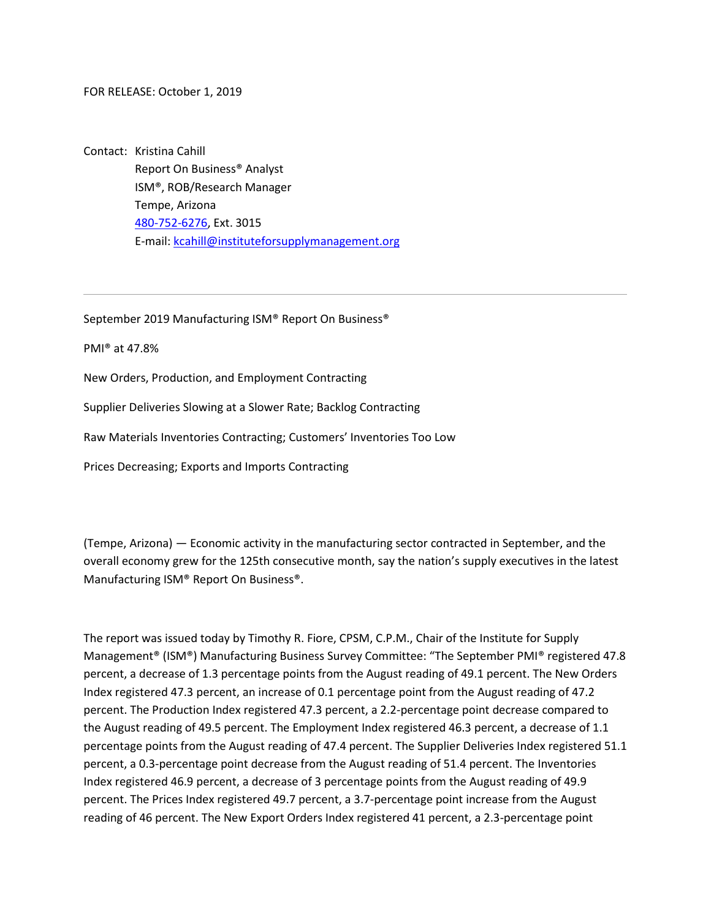FOR RELEASE: October 1, 2019

Contact: Kristina Cahill Report On Business® Analyst ISM®, ROB/Research Manager Tempe, Arizona [480-752-6276,](tel:4807526276) Ext. 3015 E-mail[: kcahill@instituteforsupplymanagement.org](mailto:kcahill@instituteforsupplymanagement.org)

September 2019 Manufacturing ISM® Report On Business®

PMI® at 47.8%

New Orders, Production, and Employment Contracting

Supplier Deliveries Slowing at a Slower Rate; Backlog Contracting

Raw Materials Inventories Contracting; Customers' Inventories Too Low

Prices Decreasing; Exports and Imports Contracting

(Tempe, Arizona) — Economic activity in the manufacturing sector contracted in September, and the overall economy grew for the 125th consecutive month, say the nation's supply executives in the latest Manufacturing ISM® Report On Business®.

The report was issued today by Timothy R. Fiore, CPSM, C.P.M., Chair of the Institute for Supply Management<sup>®</sup> (ISM<sup>®</sup>) Manufacturing Business Survey Committee: "The September PMI<sup>®</sup> registered 47.8 percent, a decrease of 1.3 percentage points from the August reading of 49.1 percent. The New Orders Index registered 47.3 percent, an increase of 0.1 percentage point from the August reading of 47.2 percent. The Production Index registered 47.3 percent, a 2.2-percentage point decrease compared to the August reading of 49.5 percent. The Employment Index registered 46.3 percent, a decrease of 1.1 percentage points from the August reading of 47.4 percent. The Supplier Deliveries Index registered 51.1 percent, a 0.3-percentage point decrease from the August reading of 51.4 percent. The Inventories Index registered 46.9 percent, a decrease of 3 percentage points from the August reading of 49.9 percent. The Prices Index registered 49.7 percent, a 3.7-percentage point increase from the August reading of 46 percent. The New Export Orders Index registered 41 percent, a 2.3-percentage point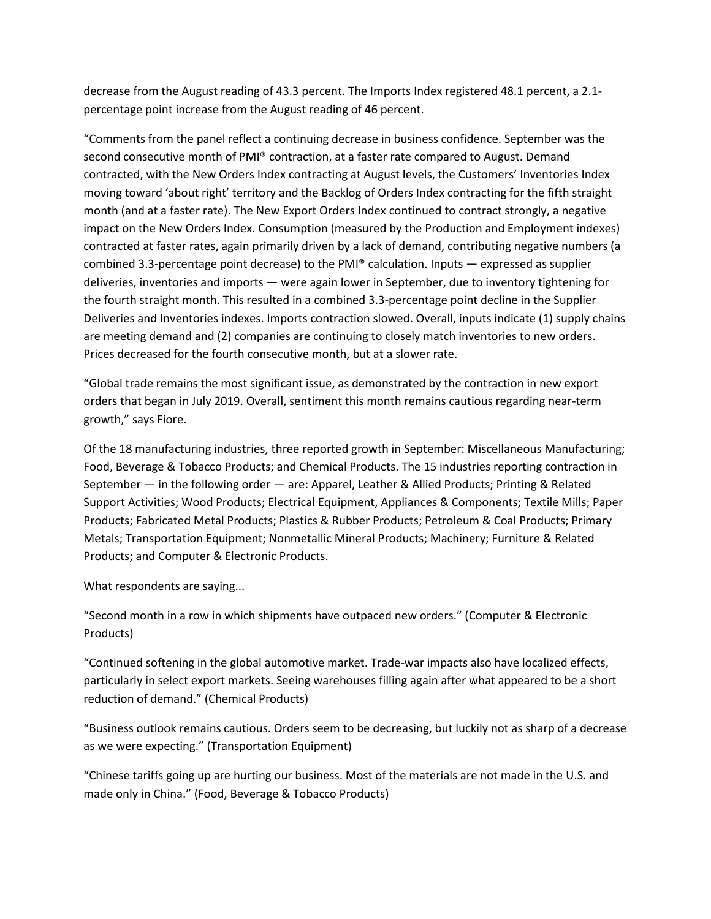decrease from the August reading of 43.3 percent. The Imports Index registered 48.1 percent, a 2.1 percentage point increase from the August reading of 46 percent.

"Comments from the panel reflect a continuing decrease in business confidence. September was the second consecutive month of PMI® contraction, at a faster rate compared to August. Demand contracted, with the New Orders Index contracting at August levels, the Customers' Inventories Index moving toward 'about right' territory and the Backlog of Orders Index contracting for the fifth straight month (and at a faster rate). The New Export Orders Index continued to contract strongly, a negative impact on the New Orders Index. Consumption (measured by the Production and Employment indexes) contracted at faster rates, again primarily driven by a lack of demand, contributing negative numbers (a combined 3.3-percentage point decrease) to the PMI® calculation. Inputs — expressed as supplier deliveries, inventories and imports — were again lower in September, due to inventory tightening for the fourth straight month. This resulted in a combined 3.3-percentage point decline in the Supplier Deliveries and Inventories indexes. Imports contraction slowed. Overall, inputs indicate (1) supply chains are meeting demand and (2) companies are continuing to closely match inventories to new orders. Prices decreased for the fourth consecutive month, but at a slower rate.

"Global trade remains the most significant issue, as demonstrated by the contraction in new export orders that began in July 2019. Overall, sentiment this month remains cautious regarding near-term growth," says Fiore.

Of the 18 manufacturing industries, three reported growth in September: Miscellaneous Manufacturing; Food, Beverage & Tobacco Products; and Chemical Products. The 15 industries reporting contraction in September — in the following order — are: Apparel, Leather & Allied Products; Printing & Related Support Activities; Wood Products; Electrical Equipment, Appliances & Components; Textile Mills; Paper Products; Fabricated Metal Products; Plastics & Rubber Products; Petroleum & Coal Products; Primary Metals; Transportation Equipment; Nonmetallic Mineral Products; Machinery; Furniture & Related Products; and Computer & Electronic Products.

What respondents are saying...

"Second month in a row in which shipments have outpaced new orders." (Computer & Electronic Products)

"Continued softening in the global automotive market. Trade-war impacts also have localized effects, particularly in select export markets. Seeing warehouses filling again after what appeared to be a short reduction of demand." (Chemical Products)

"Business outlook remains cautious. Orders seem to be decreasing, but luckily not as sharp of a decrease as we were expecting." (Transportation Equipment)

"Chinese tariffs going up are hurting our business. Most of the materials are not made in the U.S. and made only in China." (Food, Beverage & Tobacco Products)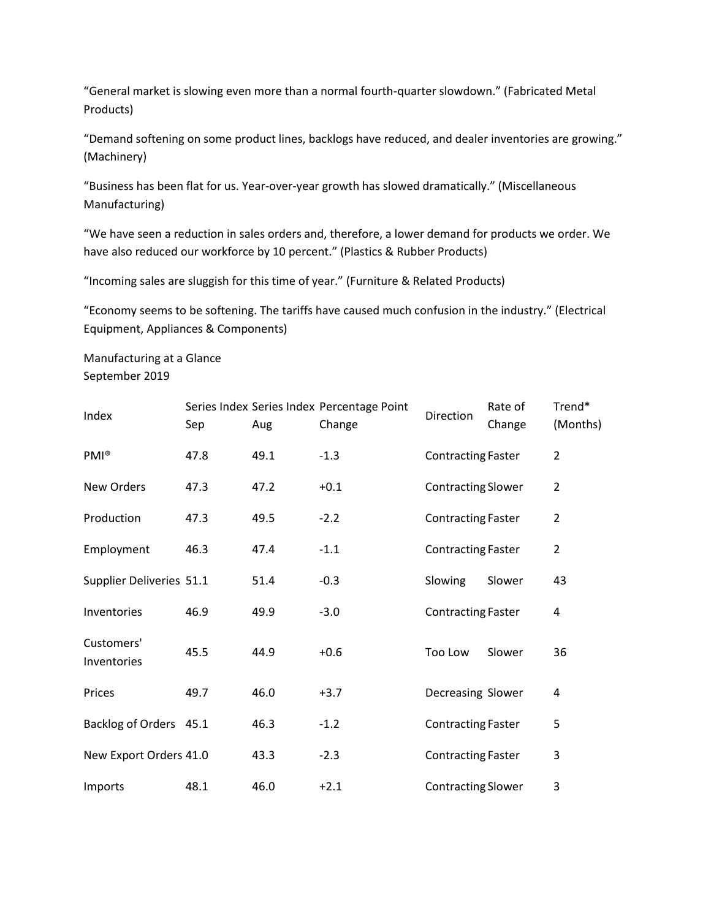"General market is slowing even more than a normal fourth-quarter slowdown." (Fabricated Metal Products)

"Demand softening on some product lines, backlogs have reduced, and dealer inventories are growing." (Machinery)

"Business has been flat for us. Year-over-year growth has slowed dramatically." (Miscellaneous Manufacturing)

"We have seen a reduction in sales orders and, therefore, a lower demand for products we order. We have also reduced our workforce by 10 percent." (Plastics & Rubber Products)

"Incoming sales are sluggish for this time of year." (Furniture & Related Products)

"Economy seems to be softening. The tariffs have caused much confusion in the industry." (Electrical Equipment, Appliances & Components)

Manufacturing at a Glance September 2019

| Index                     | Sep  | Aug  | Series Index Series Index Percentage Point<br>Change | Direction                 | Rate of<br>Change | Trend*<br>(Months) |
|---------------------------|------|------|------------------------------------------------------|---------------------------|-------------------|--------------------|
| PMI <sup>®</sup>          | 47.8 | 49.1 | $-1.3$                                               | <b>Contracting Faster</b> |                   | $\overline{2}$     |
| New Orders                | 47.3 | 47.2 | $+0.1$                                               | <b>Contracting Slower</b> |                   | $\overline{2}$     |
| Production                | 47.3 | 49.5 | $-2.2$                                               | <b>Contracting Faster</b> |                   | $\overline{2}$     |
| Employment                | 46.3 | 47.4 | $-1.1$                                               | <b>Contracting Faster</b> |                   | $\overline{2}$     |
| Supplier Deliveries 51.1  |      | 51.4 | $-0.3$                                               | Slowing                   | Slower            | 43                 |
| Inventories               | 46.9 | 49.9 | $-3.0$                                               | <b>Contracting Faster</b> |                   | 4                  |
| Customers'<br>Inventories | 45.5 | 44.9 | $+0.6$                                               | Too Low                   | Slower            | 36                 |
| Prices                    | 49.7 | 46.0 | $+3.7$                                               | Decreasing Slower         |                   | 4                  |
| Backlog of Orders 45.1    |      | 46.3 | $-1.2$                                               | <b>Contracting Faster</b> |                   | 5                  |
| New Export Orders 41.0    |      | 43.3 | $-2.3$                                               | <b>Contracting Faster</b> |                   | 3                  |
| Imports                   | 48.1 | 46.0 | $+2.1$                                               | <b>Contracting Slower</b> |                   | 3                  |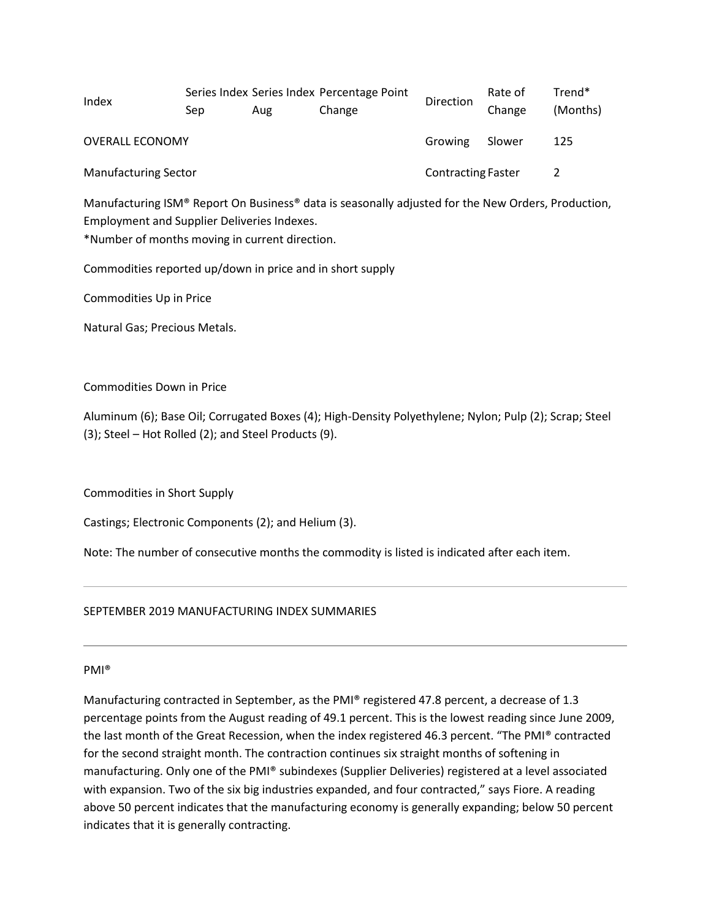|                             | Series Index Series Index Percentage Point |     |        | Rate of                   | Trend* |          |
|-----------------------------|--------------------------------------------|-----|--------|---------------------------|--------|----------|
| Index                       | Sep                                        | Aug | Change | Direction                 | Change | (Months) |
| <b>OVERALL ECONOMY</b>      |                                            |     |        | Growing                   | Slower | 125      |
| <b>Manufacturing Sector</b> |                                            |     |        | <b>Contracting Faster</b> |        |          |

Manufacturing ISM® Report On Business® data is seasonally adjusted for the New Orders, Production, Employment and Supplier Deliveries Indexes.

\*Number of months moving in current direction.

Commodities reported up/down in price and in short supply

Commodities Up in Price

Natural Gas; Precious Metals.

Commodities Down in Price

Aluminum (6); Base Oil; Corrugated Boxes (4); High-Density Polyethylene; Nylon; Pulp (2); Scrap; Steel (3); Steel – Hot Rolled (2); and Steel Products (9).

Commodities in Short Supply

Castings; Electronic Components (2); and Helium (3).

Note: The number of consecutive months the commodity is listed is indicated after each item.

### SEPTEMBER 2019 MANUFACTURING INDEX SUMMARIES

### PMI®

Manufacturing contracted in September, as the PMI® registered 47.8 percent, a decrease of 1.3 percentage points from the August reading of 49.1 percent. This is the lowest reading since June 2009, the last month of the Great Recession, when the index registered 46.3 percent. "The PMI® contracted for the second straight month. The contraction continues six straight months of softening in manufacturing. Only one of the PMI® subindexes (Supplier Deliveries) registered at a level associated with expansion. Two of the six big industries expanded, and four contracted," says Fiore. A reading above 50 percent indicates that the manufacturing economy is generally expanding; below 50 percent indicates that it is generally contracting.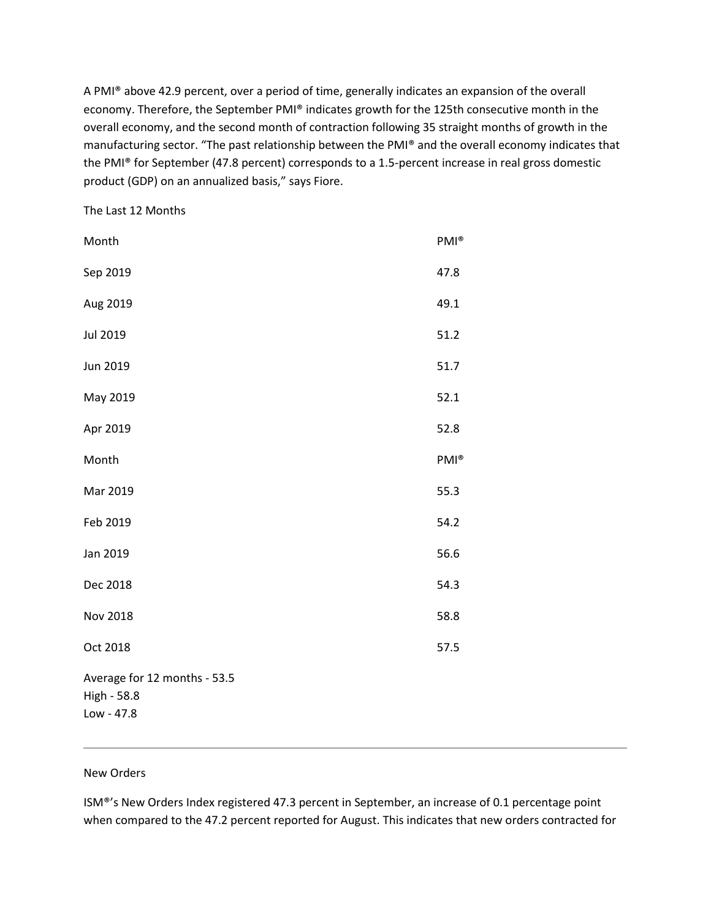A PMI® above 42.9 percent, over a period of time, generally indicates an expansion of the overall economy. Therefore, the September PMI® indicates growth for the 125th consecutive month in the overall economy, and the second month of contraction following 35 straight months of growth in the manufacturing sector. "The past relationship between the PMI® and the overall economy indicates that the PMI® for September (47.8 percent) corresponds to a 1.5-percent increase in real gross domestic product (GDP) on an annualized basis," says Fiore.

The Last 12 Months

| Month                                                     | PMI <sup>®</sup> |
|-----------------------------------------------------------|------------------|
| Sep 2019                                                  | 47.8             |
| Aug 2019                                                  | 49.1             |
| Jul 2019                                                  | 51.2             |
| Jun 2019                                                  | 51.7             |
| May 2019                                                  | 52.1             |
| Apr 2019                                                  | 52.8             |
| Month                                                     | PMI <sup>®</sup> |
| Mar 2019                                                  | 55.3             |
| Feb 2019                                                  | 54.2             |
| Jan 2019                                                  | 56.6             |
| Dec 2018                                                  | 54.3             |
| <b>Nov 2018</b>                                           | 58.8             |
| Oct 2018                                                  | 57.5             |
| Average for 12 months - 53.5<br>High - 58.8<br>Low - 47.8 |                  |

### New Orders

ISM®'s New Orders Index registered 47.3 percent in September, an increase of 0.1 percentage point when compared to the 47.2 percent reported for August. This indicates that new orders contracted for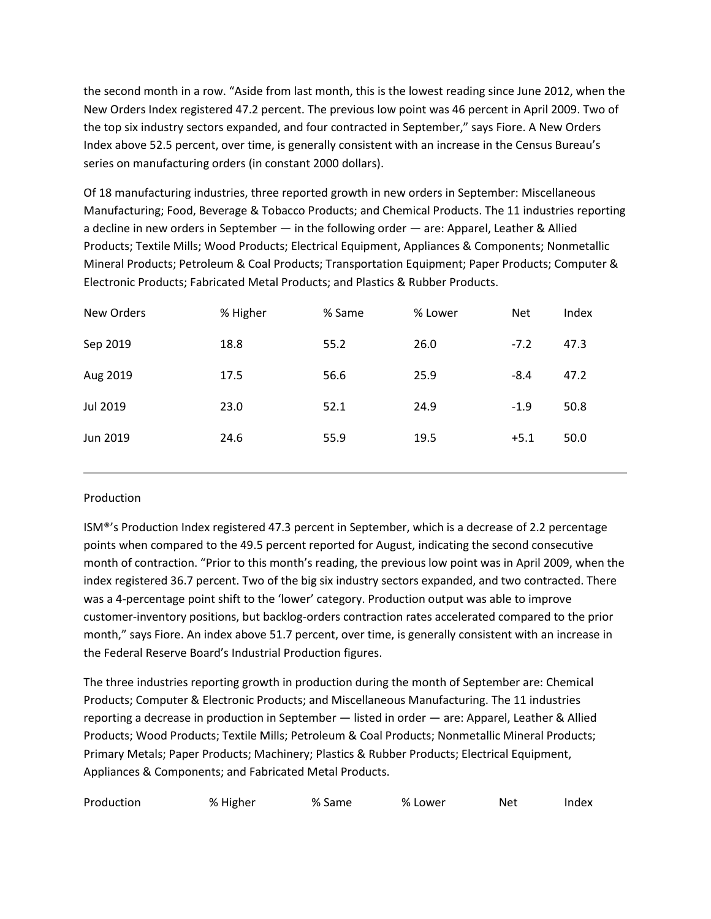the second month in a row. "Aside from last month, this is the lowest reading since June 2012, when the New Orders Index registered 47.2 percent. The previous low point was 46 percent in April 2009. Two of the top six industry sectors expanded, and four contracted in September," says Fiore. A New Orders Index above 52.5 percent, over time, is generally consistent with an increase in the Census Bureau's series on manufacturing orders (in constant 2000 dollars).

Of 18 manufacturing industries, three reported growth in new orders in September: Miscellaneous Manufacturing; Food, Beverage & Tobacco Products; and Chemical Products. The 11 industries reporting a decline in new orders in September — in the following order — are: Apparel, Leather & Allied Products; Textile Mills; Wood Products; Electrical Equipment, Appliances & Components; Nonmetallic Mineral Products; Petroleum & Coal Products; Transportation Equipment; Paper Products; Computer & Electronic Products; Fabricated Metal Products; and Plastics & Rubber Products.

| New Orders | % Higher | % Same | % Lower | <b>Net</b> | Index |
|------------|----------|--------|---------|------------|-------|
| Sep 2019   | 18.8     | 55.2   | 26.0    | $-7.2$     | 47.3  |
| Aug 2019   | 17.5     | 56.6   | 25.9    | $-8.4$     | 47.2  |
| Jul 2019   | 23.0     | 52.1   | 24.9    | $-1.9$     | 50.8  |
| Jun 2019   | 24.6     | 55.9   | 19.5    | $+5.1$     | 50.0  |
|            |          |        |         |            |       |

# Production

ISM®'s Production Index registered 47.3 percent in September, which is a decrease of 2.2 percentage points when compared to the 49.5 percent reported for August, indicating the second consecutive month of contraction. "Prior to this month's reading, the previous low point was in April 2009, when the index registered 36.7 percent. Two of the big six industry sectors expanded, and two contracted. There was a 4-percentage point shift to the 'lower' category. Production output was able to improve customer-inventory positions, but backlog-orders contraction rates accelerated compared to the prior month," says Fiore. An index above 51.7 percent, over time, is generally consistent with an increase in the Federal Reserve Board's Industrial Production figures.

The three industries reporting growth in production during the month of September are: Chemical Products; Computer & Electronic Products; and Miscellaneous Manufacturing. The 11 industries reporting a decrease in production in September — listed in order — are: Apparel, Leather & Allied Products; Wood Products; Textile Mills; Petroleum & Coal Products; Nonmetallic Mineral Products; Primary Metals; Paper Products; Machinery; Plastics & Rubber Products; Electrical Equipment, Appliances & Components; and Fabricated Metal Products.

| Production | % Higher | % Same | % Lower | Net | Index |
|------------|----------|--------|---------|-----|-------|
|------------|----------|--------|---------|-----|-------|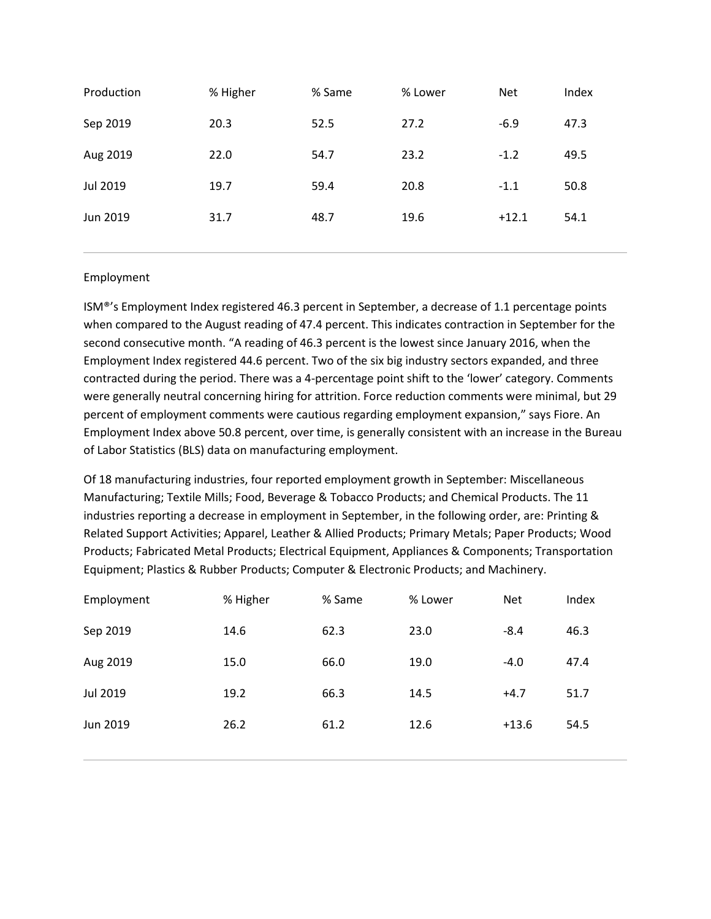| Production      | % Higher | % Same | % Lower | <b>Net</b> | Index |
|-----------------|----------|--------|---------|------------|-------|
| Sep 2019        | 20.3     | 52.5   | 27.2    | $-6.9$     | 47.3  |
| Aug 2019        | 22.0     | 54.7   | 23.2    | $-1.2$     | 49.5  |
| <b>Jul 2019</b> | 19.7     | 59.4   | 20.8    | $-1.1$     | 50.8  |
| Jun 2019        | 31.7     | 48.7   | 19.6    | $+12.1$    | 54.1  |
|                 |          |        |         |            |       |

# Employment

ISM®'s Employment Index registered 46.3 percent in September, a decrease of 1.1 percentage points when compared to the August reading of 47.4 percent. This indicates contraction in September for the second consecutive month. "A reading of 46.3 percent is the lowest since January 2016, when the Employment Index registered 44.6 percent. Two of the six big industry sectors expanded, and three contracted during the period. There was a 4-percentage point shift to the 'lower' category. Comments were generally neutral concerning hiring for attrition. Force reduction comments were minimal, but 29 percent of employment comments were cautious regarding employment expansion," says Fiore. An Employment Index above 50.8 percent, over time, is generally consistent with an increase in the Bureau of Labor Statistics (BLS) data on manufacturing employment.

Of 18 manufacturing industries, four reported employment growth in September: Miscellaneous Manufacturing; Textile Mills; Food, Beverage & Tobacco Products; and Chemical Products. The 11 industries reporting a decrease in employment in September, in the following order, are: Printing & Related Support Activities; Apparel, Leather & Allied Products; Primary Metals; Paper Products; Wood Products; Fabricated Metal Products; Electrical Equipment, Appliances & Components; Transportation Equipment; Plastics & Rubber Products; Computer & Electronic Products; and Machinery.

| Employment | % Higher | % Same | % Lower | <b>Net</b> | Index |
|------------|----------|--------|---------|------------|-------|
| Sep 2019   | 14.6     | 62.3   | 23.0    | $-8.4$     | 46.3  |
| Aug 2019   | 15.0     | 66.0   | 19.0    | $-4.0$     | 47.4  |
| Jul 2019   | 19.2     | 66.3   | 14.5    | $+4.7$     | 51.7  |
| Jun 2019   | 26.2     | 61.2   | 12.6    | $+13.6$    | 54.5  |
|            |          |        |         |            |       |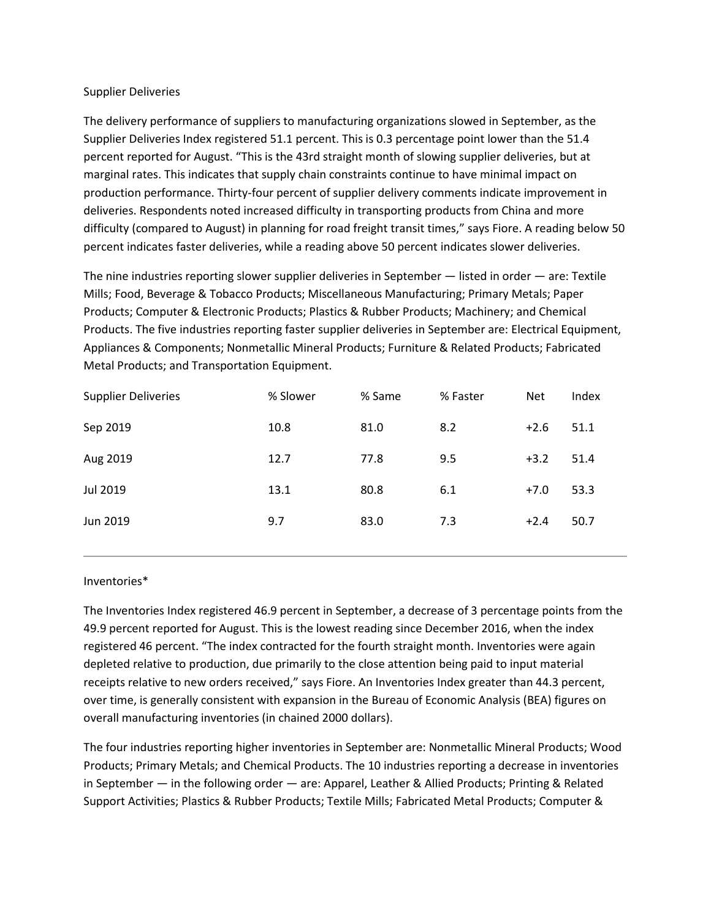### Supplier Deliveries

The delivery performance of suppliers to manufacturing organizations slowed in September, as the Supplier Deliveries Index registered 51.1 percent. This is 0.3 percentage point lower than the 51.4 percent reported for August. "This is the 43rd straight month of slowing supplier deliveries, but at marginal rates. This indicates that supply chain constraints continue to have minimal impact on production performance. Thirty-four percent of supplier delivery comments indicate improvement in deliveries. Respondents noted increased difficulty in transporting products from China and more difficulty (compared to August) in planning for road freight transit times," says Fiore. A reading below 50 percent indicates faster deliveries, while a reading above 50 percent indicates slower deliveries.

The nine industries reporting slower supplier deliveries in September — listed in order — are: Textile Mills; Food, Beverage & Tobacco Products; Miscellaneous Manufacturing; Primary Metals; Paper Products; Computer & Electronic Products; Plastics & Rubber Products; Machinery; and Chemical Products. The five industries reporting faster supplier deliveries in September are: Electrical Equipment, Appliances & Components; Nonmetallic Mineral Products; Furniture & Related Products; Fabricated Metal Products; and Transportation Equipment.

| <b>Supplier Deliveries</b> | % Slower | % Same | % Faster | <b>Net</b> | Index |
|----------------------------|----------|--------|----------|------------|-------|
| Sep 2019                   | 10.8     | 81.0   | 8.2      | $+2.6$     | 51.1  |
| Aug 2019                   | 12.7     | 77.8   | 9.5      | $+3.2$     | 51.4  |
| <b>Jul 2019</b>            | 13.1     | 80.8   | 6.1      | $+7.0$     | 53.3  |
| Jun 2019                   | 9.7      | 83.0   | 7.3      | $+2.4$     | 50.7  |

# Inventories\*

The Inventories Index registered 46.9 percent in September, a decrease of 3 percentage points from the 49.9 percent reported for August. This is the lowest reading since December 2016, when the index registered 46 percent. "The index contracted for the fourth straight month. Inventories were again depleted relative to production, due primarily to the close attention being paid to input material receipts relative to new orders received," says Fiore. An Inventories Index greater than 44.3 percent, over time, is generally consistent with expansion in the Bureau of Economic Analysis (BEA) figures on overall manufacturing inventories (in chained 2000 dollars).

The four industries reporting higher inventories in September are: Nonmetallic Mineral Products; Wood Products; Primary Metals; and Chemical Products. The 10 industries reporting a decrease in inventories in September — in the following order — are: Apparel, Leather & Allied Products; Printing & Related Support Activities; Plastics & Rubber Products; Textile Mills; Fabricated Metal Products; Computer &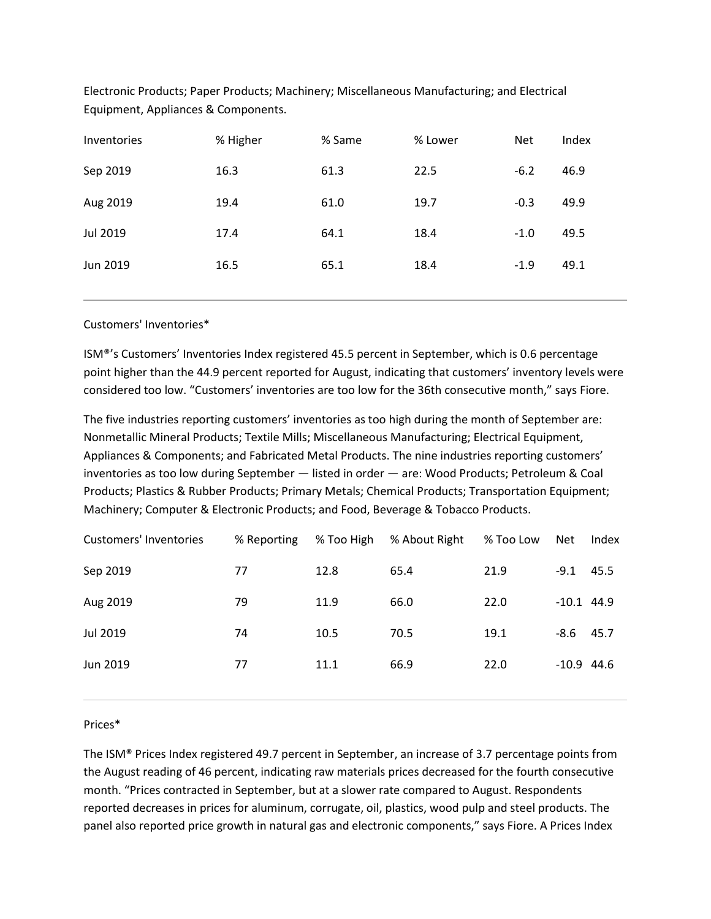| <b>Inventories</b> | % Higher | % Same | % Lower | <b>Net</b> | Index |
|--------------------|----------|--------|---------|------------|-------|
| Sep 2019           | 16.3     | 61.3   | 22.5    | $-6.2$     | 46.9  |
| Aug 2019           | 19.4     | 61.0   | 19.7    | $-0.3$     | 49.9  |
| Jul 2019           | 17.4     | 64.1   | 18.4    | $-1.0$     | 49.5  |
| Jun 2019           | 16.5     | 65.1   | 18.4    | $-1.9$     | 49.1  |
|                    |          |        |         |            |       |

Electronic Products; Paper Products; Machinery; Miscellaneous Manufacturing; and Electrical Equipment, Appliances & Components.

### Customers' Inventories\*

ISM®'s Customers' Inventories Index registered 45.5 percent in September, which is 0.6 percentage point higher than the 44.9 percent reported for August, indicating that customers' inventory levels were considered too low. "Customers' inventories are too low for the 36th consecutive month," says Fiore.

The five industries reporting customers' inventories as too high during the month of September are: Nonmetallic Mineral Products; Textile Mills; Miscellaneous Manufacturing; Electrical Equipment, Appliances & Components; and Fabricated Metal Products. The nine industries reporting customers' inventories as too low during September — listed in order — are: Wood Products; Petroleum & Coal Products; Plastics & Rubber Products; Primary Metals; Chemical Products; Transportation Equipment; Machinery; Computer & Electronic Products; and Food, Beverage & Tobacco Products.

| <b>Customers' Inventories</b> | % Reporting | % Too High | % About Right | % Too Low | Net          | Index |
|-------------------------------|-------------|------------|---------------|-----------|--------------|-------|
| Sep 2019                      | 77          | 12.8       | 65.4          | 21.9      | $-9.1$       | 45.5  |
| Aug 2019                      | 79          | 11.9       | 66.0          | 22.0      | $-10.1$ 44.9 |       |
| Jul 2019                      | 74          | 10.5       | 70.5          | 19.1      | $-8.6$       | 45.7  |
| Jun 2019                      | 77          | 11.1       | 66.9          | 22.0      | $-10.9$ 44.6 |       |
|                               |             |            |               |           |              |       |

#### Prices\*

The ISM® Prices Index registered 49.7 percent in September, an increase of 3.7 percentage points from the August reading of 46 percent, indicating raw materials prices decreased for the fourth consecutive month. "Prices contracted in September, but at a slower rate compared to August. Respondents reported decreases in prices for aluminum, corrugate, oil, plastics, wood pulp and steel products. The panel also reported price growth in natural gas and electronic components," says Fiore. A Prices Index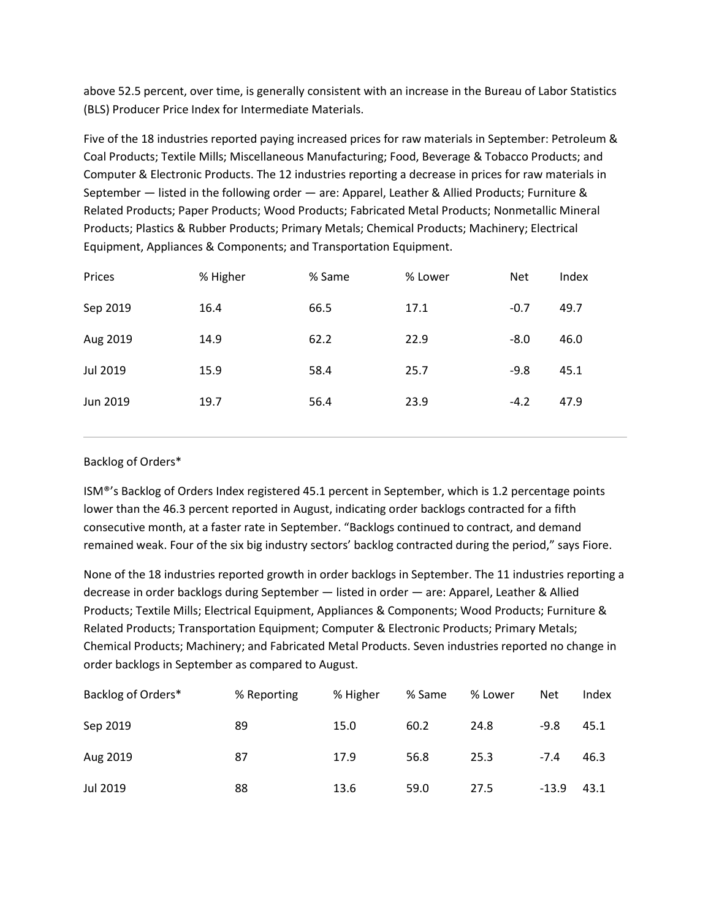above 52.5 percent, over time, is generally consistent with an increase in the Bureau of Labor Statistics (BLS) Producer Price Index for Intermediate Materials.

Five of the 18 industries reported paying increased prices for raw materials in September: Petroleum & Coal Products; Textile Mills; Miscellaneous Manufacturing; Food, Beverage & Tobacco Products; and Computer & Electronic Products. The 12 industries reporting a decrease in prices for raw materials in September — listed in the following order — are: Apparel, Leather & Allied Products; Furniture & Related Products; Paper Products; Wood Products; Fabricated Metal Products; Nonmetallic Mineral Products; Plastics & Rubber Products; Primary Metals; Chemical Products; Machinery; Electrical Equipment, Appliances & Components; and Transportation Equipment.

| Prices   | % Higher | % Same | % Lower | <b>Net</b> | Index |
|----------|----------|--------|---------|------------|-------|
| Sep 2019 | 16.4     | 66.5   | 17.1    | $-0.7$     | 49.7  |
| Aug 2019 | 14.9     | 62.2   | 22.9    | $-8.0$     | 46.0  |
| Jul 2019 | 15.9     | 58.4   | 25.7    | $-9.8$     | 45.1  |
| Jun 2019 | 19.7     | 56.4   | 23.9    | $-4.2$     | 47.9  |
|          |          |        |         |            |       |

# Backlog of Orders\*

ISM®'s Backlog of Orders Index registered 45.1 percent in September, which is 1.2 percentage points lower than the 46.3 percent reported in August, indicating order backlogs contracted for a fifth consecutive month, at a faster rate in September. "Backlogs continued to contract, and demand remained weak. Four of the six big industry sectors' backlog contracted during the period," says Fiore.

None of the 18 industries reported growth in order backlogs in September. The 11 industries reporting a decrease in order backlogs during September — listed in order — are: Apparel, Leather & Allied Products; Textile Mills; Electrical Equipment, Appliances & Components; Wood Products; Furniture & Related Products; Transportation Equipment; Computer & Electronic Products; Primary Metals; Chemical Products; Machinery; and Fabricated Metal Products. Seven industries reported no change in order backlogs in September as compared to August.

| Backlog of Orders* | % Reporting | % Higher | % Same | % Lower | <b>Net</b> | Index |
|--------------------|-------------|----------|--------|---------|------------|-------|
| Sep 2019           | 89          | 15.0     | 60.2   | 24.8    | $-9.8$     | 45.1  |
| Aug 2019           | 87          | 17.9     | 56.8   | 25.3    | $-7.4$     | 46.3  |
| Jul 2019           | 88          | 13.6     | 59.0   | 27.5    | $-13.9$    | 43.1  |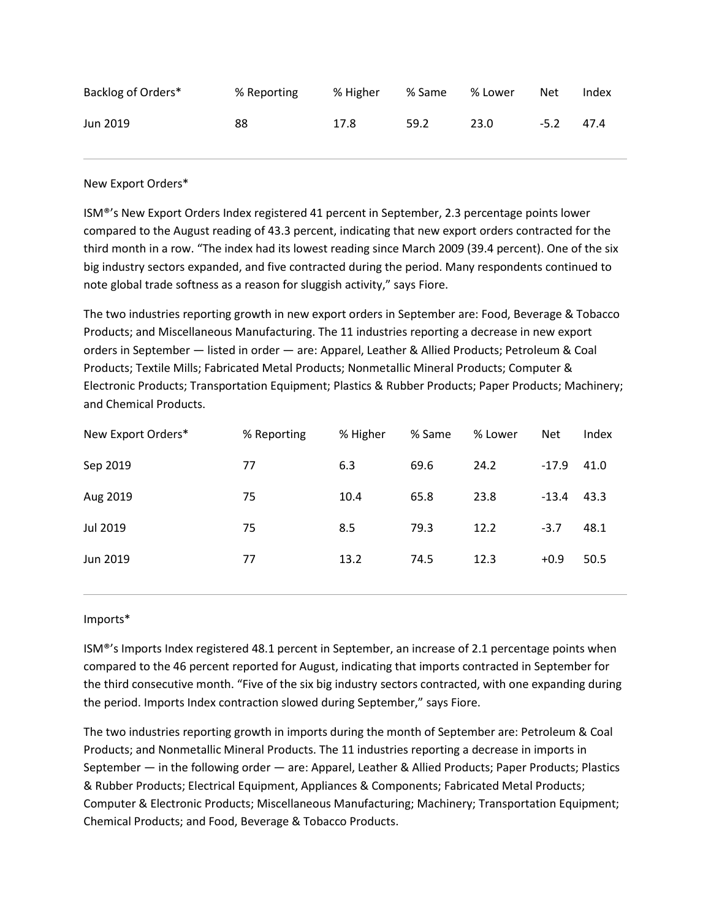| Backlog of Orders* | % Reporting | % Higher | % Same | % Lower | <b>Net</b> | Index |
|--------------------|-------------|----------|--------|---------|------------|-------|
| Jun 2019           | 88          | 17.8     | 59.2   | 23.0    | $-5.2$     | 47.4  |

### New Export Orders\*

ISM®'s New Export Orders Index registered 41 percent in September, 2.3 percentage points lower compared to the August reading of 43.3 percent, indicating that new export orders contracted for the third month in a row. "The index had its lowest reading since March 2009 (39.4 percent). One of the six big industry sectors expanded, and five contracted during the period. Many respondents continued to note global trade softness as a reason for sluggish activity," says Fiore.

The two industries reporting growth in new export orders in September are: Food, Beverage & Tobacco Products; and Miscellaneous Manufacturing. The 11 industries reporting a decrease in new export orders in September — listed in order — are: Apparel, Leather & Allied Products; Petroleum & Coal Products; Textile Mills; Fabricated Metal Products; Nonmetallic Mineral Products; Computer & Electronic Products; Transportation Equipment; Plastics & Rubber Products; Paper Products; Machinery; and Chemical Products.

| New Export Orders* | % Reporting | % Higher | % Same | % Lower | <b>Net</b> | Index |
|--------------------|-------------|----------|--------|---------|------------|-------|
| Sep 2019           | 77          | 6.3      | 69.6   | 24.2    | $-17.9$    | 41.0  |
| Aug 2019           | 75          | 10.4     | 65.8   | 23.8    | $-13.4$    | 43.3  |
| Jul 2019           | 75          | 8.5      | 79.3   | 12.2    | $-3.7$     | 48.1  |
| Jun 2019           | 77          | 13.2     | 74.5   | 12.3    | $+0.9$     | 50.5  |

# Imports\*

ISM®'s Imports Index registered 48.1 percent in September, an increase of 2.1 percentage points when compared to the 46 percent reported for August, indicating that imports contracted in September for the third consecutive month. "Five of the six big industry sectors contracted, with one expanding during the period. Imports Index contraction slowed during September," says Fiore.

The two industries reporting growth in imports during the month of September are: Petroleum & Coal Products; and Nonmetallic Mineral Products. The 11 industries reporting a decrease in imports in September — in the following order — are: Apparel, Leather & Allied Products; Paper Products; Plastics & Rubber Products; Electrical Equipment, Appliances & Components; Fabricated Metal Products; Computer & Electronic Products; Miscellaneous Manufacturing; Machinery; Transportation Equipment; Chemical Products; and Food, Beverage & Tobacco Products.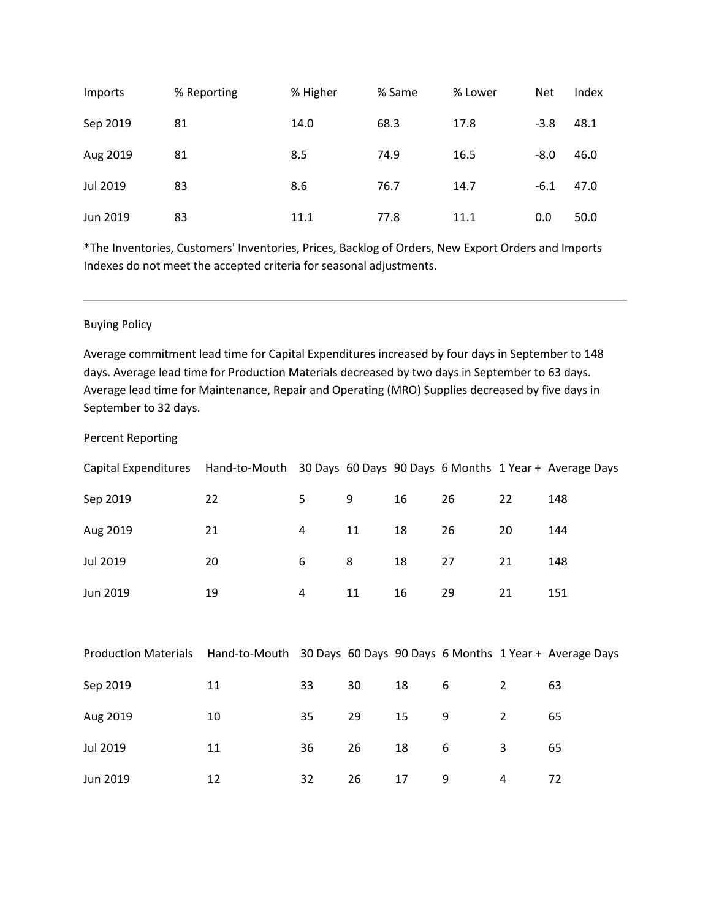| Imports  | % Reporting | % Higher | % Same | % Lower | <b>Net</b> | Index |
|----------|-------------|----------|--------|---------|------------|-------|
| Sep 2019 | 81          | 14.0     | 68.3   | 17.8    | $-3.8$     | 48.1  |
| Aug 2019 | 81          | 8.5      | 74.9   | 16.5    | $-8.0$     | 46.0  |
| Jul 2019 | 83          | 8.6      | 76.7   | 14.7    | $-6.1$     | 47.0  |
| Jun 2019 | 83          | 11.1     | 77.8   | 11.1    | 0.0        | 50.0  |

\*The Inventories, Customers' Inventories, Prices, Backlog of Orders, New Export Orders and Imports Indexes do not meet the accepted criteria for seasonal adjustments.

### Buying Policy

Average commitment lead time for Capital Expenditures increased by four days in September to 148 days. Average lead time for Production Materials decreased by two days in September to 63 days. Average lead time for Maintenance, Repair and Operating (MRO) Supplies decreased by five days in September to 32 days.

### Percent Reporting

| Capital Expenditures Hand-to-Mouth 30 Days 60 Days 90 Days 6 Months 1 Year + Average Days |    |    |    |    |    |    |     |
|-------------------------------------------------------------------------------------------|----|----|----|----|----|----|-----|
| Sep 2019                                                                                  | 22 | 5. | 9  | 16 | 26 | 22 | 148 |
| Aug 2019                                                                                  | 21 | 4  | 11 | 18 | 26 | 20 | 144 |
| Jul 2019                                                                                  | 20 | 6  | 8  | 18 | 27 | 21 | 148 |
| Jun 2019                                                                                  | 19 | 4  | 11 | 16 | 29 | 21 | 151 |

| <b>Production Materials</b> | Hand-to-Mouth 30 Days 60 Days 90 Days 6 Months 1 Year + Average Days |    |    |    |   |   |    |
|-----------------------------|----------------------------------------------------------------------|----|----|----|---|---|----|
| Sep 2019                    | 11                                                                   | 33 | 30 | 18 | 6 |   | 63 |
| Aug 2019                    | 10                                                                   | 35 | 29 | 15 | 9 |   | 65 |
| Jul 2019                    | 11                                                                   | 36 | 26 | 18 | 6 | 3 | 65 |
| Jun 2019                    | 12                                                                   | 32 | 26 | 17 | 9 | 4 | 72 |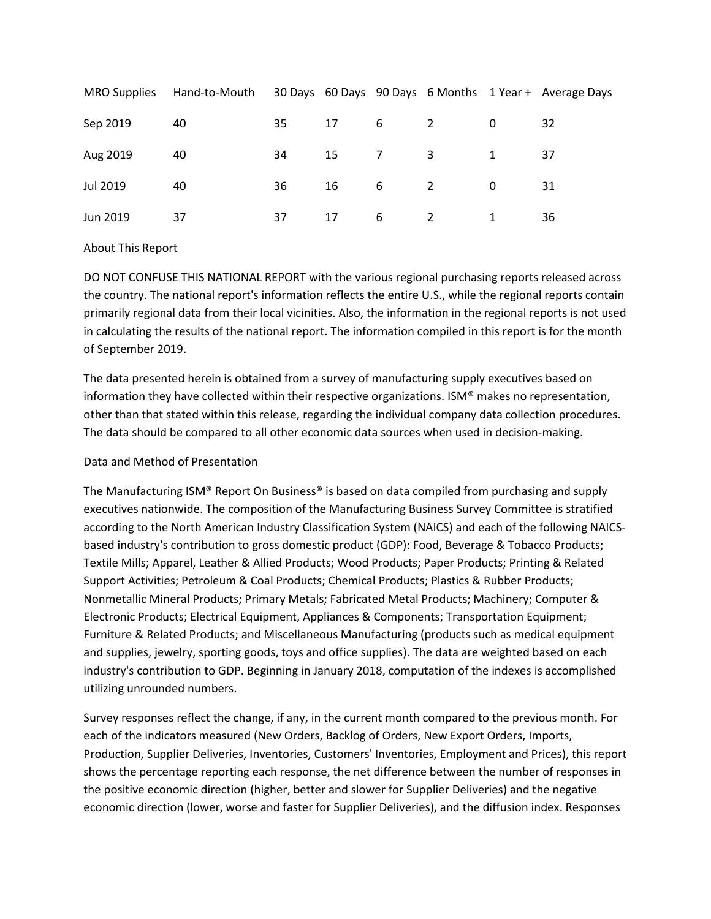| <b>MRO Supplies</b> | Hand-to-Mouth |    |    |                |   |          | 30 Days 60 Days 90 Days 6 Months 1 Year + Average Days |
|---------------------|---------------|----|----|----------------|---|----------|--------------------------------------------------------|
| Sep 2019            | 40            | 35 | 17 | - 6            | 2 |          | 32                                                     |
| Aug 2019            | 40            | 34 | 15 | $\overline{7}$ | 3 |          | 37                                                     |
| Jul 2019            | 40            | 36 | 16 | - 6            | 2 | $\Omega$ | 31                                                     |
| Jun 2019            | 37            | 37 | 17 | 6              | 2 |          | 36                                                     |

# About This Report

DO NOT CONFUSE THIS NATIONAL REPORT with the various regional purchasing reports released across the country. The national report's information reflects the entire U.S., while the regional reports contain primarily regional data from their local vicinities. Also, the information in the regional reports is not used in calculating the results of the national report. The information compiled in this report is for the month of September 2019.

The data presented herein is obtained from a survey of manufacturing supply executives based on information they have collected within their respective organizations. ISM® makes no representation, other than that stated within this release, regarding the individual company data collection procedures. The data should be compared to all other economic data sources when used in decision-making.

# Data and Method of Presentation

The Manufacturing ISM® Report On Business® is based on data compiled from purchasing and supply executives nationwide. The composition of the Manufacturing Business Survey Committee is stratified according to the North American Industry Classification System (NAICS) and each of the following NAICSbased industry's contribution to gross domestic product (GDP): Food, Beverage & Tobacco Products; Textile Mills; Apparel, Leather & Allied Products; Wood Products; Paper Products; Printing & Related Support Activities; Petroleum & Coal Products; Chemical Products; Plastics & Rubber Products; Nonmetallic Mineral Products; Primary Metals; Fabricated Metal Products; Machinery; Computer & Electronic Products; Electrical Equipment, Appliances & Components; Transportation Equipment; Furniture & Related Products; and Miscellaneous Manufacturing (products such as medical equipment and supplies, jewelry, sporting goods, toys and office supplies). The data are weighted based on each industry's contribution to GDP. Beginning in January 2018, computation of the indexes is accomplished utilizing unrounded numbers.

Survey responses reflect the change, if any, in the current month compared to the previous month. For each of the indicators measured (New Orders, Backlog of Orders, New Export Orders, Imports, Production, Supplier Deliveries, Inventories, Customers' Inventories, Employment and Prices), this report shows the percentage reporting each response, the net difference between the number of responses in the positive economic direction (higher, better and slower for Supplier Deliveries) and the negative economic direction (lower, worse and faster for Supplier Deliveries), and the diffusion index. Responses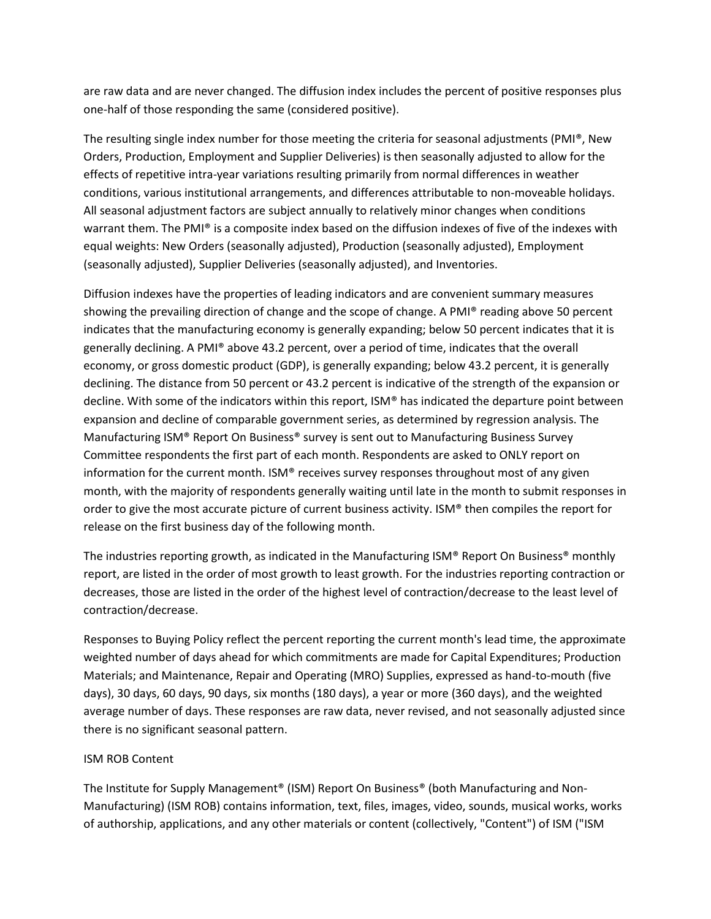are raw data and are never changed. The diffusion index includes the percent of positive responses plus one-half of those responding the same (considered positive).

The resulting single index number for those meeting the criteria for seasonal adjustments (PMI®, New Orders, Production, Employment and Supplier Deliveries) is then seasonally adjusted to allow for the effects of repetitive intra-year variations resulting primarily from normal differences in weather conditions, various institutional arrangements, and differences attributable to non-moveable holidays. All seasonal adjustment factors are subject annually to relatively minor changes when conditions warrant them. The PMI® is a composite index based on the diffusion indexes of five of the indexes with equal weights: New Orders (seasonally adjusted), Production (seasonally adjusted), Employment (seasonally adjusted), Supplier Deliveries (seasonally adjusted), and Inventories.

Diffusion indexes have the properties of leading indicators and are convenient summary measures showing the prevailing direction of change and the scope of change. A PMI® reading above 50 percent indicates that the manufacturing economy is generally expanding; below 50 percent indicates that it is generally declining. A PMI® above 43.2 percent, over a period of time, indicates that the overall economy, or gross domestic product (GDP), is generally expanding; below 43.2 percent, it is generally declining. The distance from 50 percent or 43.2 percent is indicative of the strength of the expansion or decline. With some of the indicators within this report, ISM® has indicated the departure point between expansion and decline of comparable government series, as determined by regression analysis. The Manufacturing ISM® Report On Business® survey is sent out to Manufacturing Business Survey Committee respondents the first part of each month. Respondents are asked to ONLY report on information for the current month. ISM® receives survey responses throughout most of any given month, with the majority of respondents generally waiting until late in the month to submit responses in order to give the most accurate picture of current business activity. ISM® then compiles the report for release on the first business day of the following month.

The industries reporting growth, as indicated in the Manufacturing ISM® Report On Business® monthly report, are listed in the order of most growth to least growth. For the industries reporting contraction or decreases, those are listed in the order of the highest level of contraction/decrease to the least level of contraction/decrease.

Responses to Buying Policy reflect the percent reporting the current month's lead time, the approximate weighted number of days ahead for which commitments are made for Capital Expenditures; Production Materials; and Maintenance, Repair and Operating (MRO) Supplies, expressed as hand-to-mouth (five days), 30 days, 60 days, 90 days, six months (180 days), a year or more (360 days), and the weighted average number of days. These responses are raw data, never revised, and not seasonally adjusted since there is no significant seasonal pattern.

# ISM ROB Content

The Institute for Supply Management® (ISM) Report On Business® (both Manufacturing and Non-Manufacturing) (ISM ROB) contains information, text, files, images, video, sounds, musical works, works of authorship, applications, and any other materials or content (collectively, "Content") of ISM ("ISM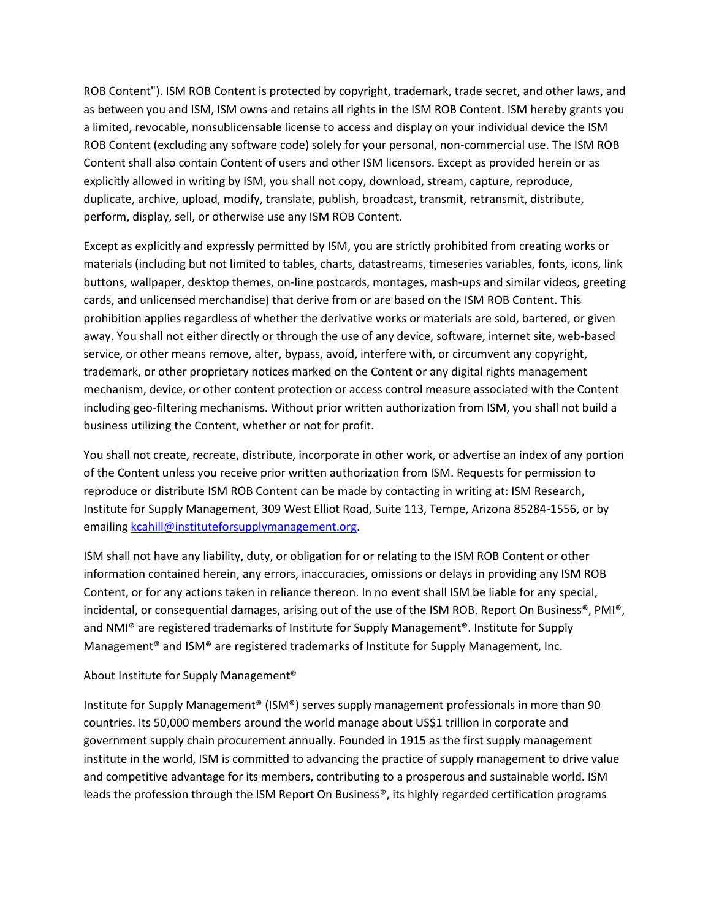ROB Content"). ISM ROB Content is protected by copyright, trademark, trade secret, and other laws, and as between you and ISM, ISM owns and retains all rights in the ISM ROB Content. ISM hereby grants you a limited, revocable, nonsublicensable license to access and display on your individual device the ISM ROB Content (excluding any software code) solely for your personal, non-commercial use. The ISM ROB Content shall also contain Content of users and other ISM licensors. Except as provided herein or as explicitly allowed in writing by ISM, you shall not copy, download, stream, capture, reproduce, duplicate, archive, upload, modify, translate, publish, broadcast, transmit, retransmit, distribute, perform, display, sell, or otherwise use any ISM ROB Content.

Except as explicitly and expressly permitted by ISM, you are strictly prohibited from creating works or materials (including but not limited to tables, charts, datastreams, timeseries variables, fonts, icons, link buttons, wallpaper, desktop themes, on-line postcards, montages, mash-ups and similar videos, greeting cards, and unlicensed merchandise) that derive from or are based on the ISM ROB Content. This prohibition applies regardless of whether the derivative works or materials are sold, bartered, or given away. You shall not either directly or through the use of any device, software, internet site, web-based service, or other means remove, alter, bypass, avoid, interfere with, or circumvent any copyright, trademark, or other proprietary notices marked on the Content or any digital rights management mechanism, device, or other content protection or access control measure associated with the Content including geo-filtering mechanisms. Without prior written authorization from ISM, you shall not build a business utilizing the Content, whether or not for profit.

You shall not create, recreate, distribute, incorporate in other work, or advertise an index of any portion of the Content unless you receive prior written authorization from ISM. Requests for permission to reproduce or distribute ISM ROB Content can be made by contacting in writing at: ISM Research, Institute for Supply Management, 309 West Elliot Road, Suite 113, Tempe, Arizona 85284-1556, or by emailin[g kcahill@instituteforsupplymanagement.org.](mailto:kcahill@instituteforsupplymanagement.org?subject=Content%20Request)

ISM shall not have any liability, duty, or obligation for or relating to the ISM ROB Content or other information contained herein, any errors, inaccuracies, omissions or delays in providing any ISM ROB Content, or for any actions taken in reliance thereon. In no event shall ISM be liable for any special, incidental, or consequential damages, arising out of the use of the ISM ROB. Report On Business®, PMI®, and NMI® are registered trademarks of Institute for Supply Management®. Institute for Supply Management<sup>®</sup> and ISM<sup>®</sup> are registered trademarks of Institute for Supply Management, Inc.

# About Institute for Supply Management®

Institute for Supply Management® (ISM®) serves supply management professionals in more than 90 countries. Its 50,000 members around the world manage about US\$1 trillion in corporate and government supply chain procurement annually. Founded in 1915 as the first supply management institute in the world, ISM is committed to advancing the practice of supply management to drive value and competitive advantage for its members, contributing to a prosperous and sustainable world. ISM leads the profession through the ISM Report On Business®, its highly regarded certification programs